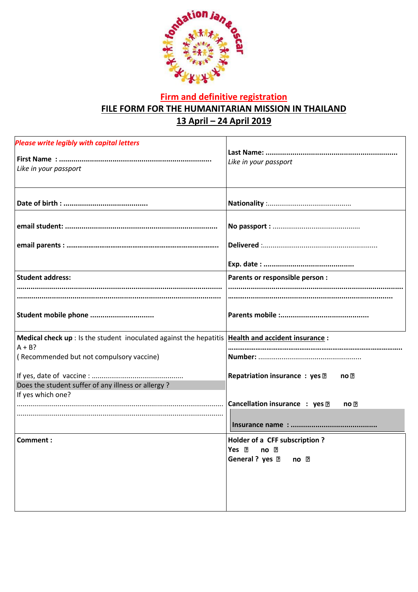

## **Firm and definitive registration FILE FORM FOR THE HUMANITARIAN MISSION IN THAILAND 13 April – 24 April 2019**